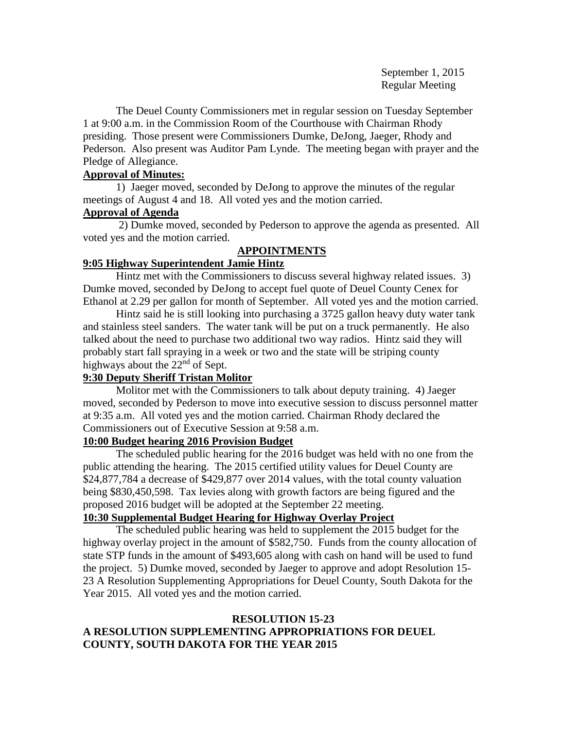September 1, 2015 Regular Meeting

The Deuel County Commissioners met in regular session on Tuesday September 1 at 9:00 a.m. in the Commission Room of the Courthouse with Chairman Rhody presiding. Those present were Commissioners Dumke, DeJong, Jaeger, Rhody and Pederson. Also present was Auditor Pam Lynde. The meeting began with prayer and the Pledge of Allegiance.

# **Approval of Minutes:**

1) Jaeger moved, seconded by DeJong to approve the minutes of the regular meetings of August 4 and 18. All voted yes and the motion carried.

# **Approval of Agenda**

2) Dumke moved, seconded by Pederson to approve the agenda as presented. All voted yes and the motion carried.

# **APPOINTMENTS**

# **9:05 Highway Superintendent Jamie Hintz**

Hintz met with the Commissioners to discuss several highway related issues. 3) Dumke moved, seconded by DeJong to accept fuel quote of Deuel County Cenex for Ethanol at 2.29 per gallon for month of September. All voted yes and the motion carried.

Hintz said he is still looking into purchasing a 3725 gallon heavy duty water tank and stainless steel sanders. The water tank will be put on a truck permanently. He also talked about the need to purchase two additional two way radios. Hintz said they will probably start fall spraying in a week or two and the state will be striping county highways about the  $22<sup>nd</sup>$  of Sept.

# **9:30 Deputy Sheriff Tristan Molitor**

Molitor met with the Commissioners to talk about deputy training. 4) Jaeger moved, seconded by Pederson to move into executive session to discuss personnel matter at 9:35 a.m. All voted yes and the motion carried. Chairman Rhody declared the Commissioners out of Executive Session at 9:58 a.m.

# **10:00 Budget hearing 2016 Provision Budget**

The scheduled public hearing for the 2016 budget was held with no one from the public attending the hearing. The 2015 certified utility values for Deuel County are \$24,877,784 a decrease of \$429,877 over 2014 values, with the total county valuation being \$830,450,598. Tax levies along with growth factors are being figured and the proposed 2016 budget will be adopted at the September 22 meeting.

# **10:30 Supplemental Budget Hearing for Highway Overlay Project**

The scheduled public hearing was held to supplement the 2015 budget for the highway overlay project in the amount of \$582,750. Funds from the county allocation of state STP funds in the amount of \$493,605 along with cash on hand will be used to fund the project. 5) Dumke moved, seconded by Jaeger to approve and adopt Resolution 15- 23 A Resolution Supplementing Appropriations for Deuel County, South Dakota for the Year 2015. All voted yes and the motion carried.

# **RESOLUTION 15-23 A RESOLUTION SUPPLEMENTING APPROPRIATIONS FOR DEUEL COUNTY, SOUTH DAKOTA FOR THE YEAR 2015**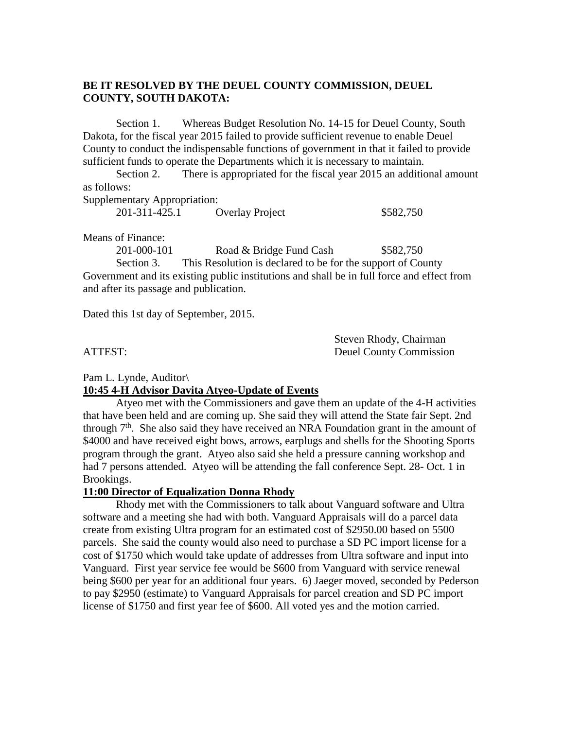# **BE IT RESOLVED BY THE DEUEL COUNTY COMMISSION, DEUEL COUNTY, SOUTH DAKOTA:**

Section 1. Whereas Budget Resolution No. 14-15 for Deuel County, South Dakota, for the fiscal year 2015 failed to provide sufficient revenue to enable Deuel County to conduct the indispensable functions of government in that it failed to provide sufficient funds to operate the Departments which it is necessary to maintain.

Section 2. There is appropriated for the fiscal year 2015 an additional amount as follows:

Supplementary Appropriation:

| 201-311-425.1 | <b>Overlay Project</b> | \$582,750 |
|---------------|------------------------|-----------|

Means of Finance:

201-000-101 Road & Bridge Fund Cash \$582,750 Section 3. This Resolution is declared to be for the support of County Government and its existing public institutions and shall be in full force and effect from and after its passage and publication.

Dated this 1st day of September, 2015.

 Steven Rhody, Chairman ATTEST: Deuel County Commission

Pam L. Lynde, Auditor\

## **10:45 4-H Advisor Davita Atyeo-Update of Events**

Atyeo met with the Commissioners and gave them an update of the 4-H activities that have been held and are coming up. She said they will attend the State fair Sept. 2nd through  $7<sup>th</sup>$ . She also said they have received an NRA Foundation grant in the amount of \$4000 and have received eight bows, arrows, earplugs and shells for the Shooting Sports program through the grant. Atyeo also said she held a pressure canning workshop and had 7 persons attended. Atyeo will be attending the fall conference Sept. 28- Oct. 1 in Brookings.

## **11:00 Director of Equalization Donna Rhody**

Rhody met with the Commissioners to talk about Vanguard software and Ultra software and a meeting she had with both. Vanguard Appraisals will do a parcel data create from existing Ultra program for an estimated cost of \$2950.00 based on 5500 parcels. She said the county would also need to purchase a SD PC import license for a cost of \$1750 which would take update of addresses from Ultra software and input into Vanguard. First year service fee would be \$600 from Vanguard with service renewal being \$600 per year for an additional four years. 6) Jaeger moved, seconded by Pederson to pay \$2950 (estimate) to Vanguard Appraisals for parcel creation and SD PC import license of \$1750 and first year fee of \$600. All voted yes and the motion carried.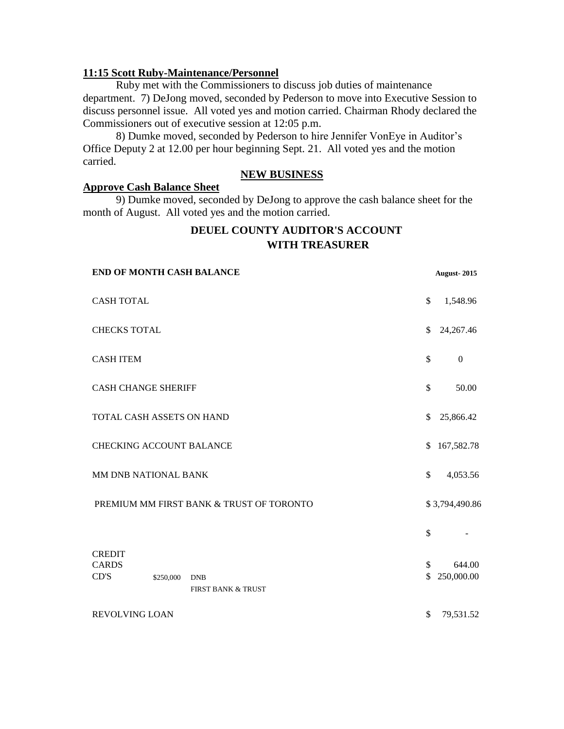### **11:15 Scott Ruby-Maintenance/Personnel**

Ruby met with the Commissioners to discuss job duties of maintenance department. 7) DeJong moved, seconded by Pederson to move into Executive Session to discuss personnel issue. All voted yes and motion carried. Chairman Rhody declared the Commissioners out of executive session at 12:05 p.m.

8) Dumke moved, seconded by Pederson to hire Jennifer VonEye in Auditor's Office Deputy 2 at 12.00 per hour beginning Sept. 21. All voted yes and the motion carried.

## **NEW BUSINESS**

#### **Approve Cash Balance Sheet**

9) Dumke moved, seconded by DeJong to approve the cash balance sheet for the month of August. All voted yes and the motion carried.

# **DEUEL COUNTY AUDITOR'S ACCOUNT WITH TREASURER**

| <b>END OF MONTH CASH BALANCE</b>         |           |                                             | <b>August-2015</b> |                  |
|------------------------------------------|-----------|---------------------------------------------|--------------------|------------------|
| <b>CASH TOTAL</b>                        |           |                                             | \$                 | 1,548.96         |
| <b>CHECKS TOTAL</b>                      |           |                                             | \$                 | 24, 267. 46      |
| <b>CASH ITEM</b>                         |           |                                             | \$                 | $\boldsymbol{0}$ |
| <b>CASH CHANGE SHERIFF</b>               |           |                                             | \$                 | 50.00            |
| TOTAL CASH ASSETS ON HAND                |           | \$                                          | 25,866.42          |                  |
| <b>CHECKING ACCOUNT BALANCE</b>          |           | \$.                                         | 167,582.78         |                  |
| MM DNB NATIONAL BANK                     |           | \$                                          | 4,053.56           |                  |
| PREMIUM MM FIRST BANK & TRUST OF TORONTO |           |                                             | \$3,794,490.86     |                  |
|                                          |           |                                             | \$                 |                  |
| <b>CREDIT</b><br><b>CARDS</b>            |           |                                             | \$                 | 644.00           |
| CD'S                                     | \$250,000 | <b>DNB</b><br><b>FIRST BANK &amp; TRUST</b> | \$                 | 250,000.00       |
| <b>REVOLVING LOAN</b>                    |           |                                             | \$                 | 79,531.52        |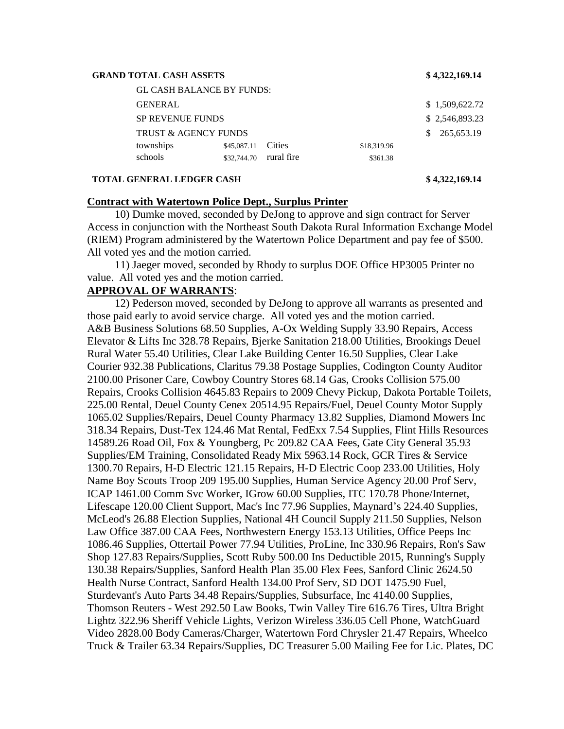#### **GRAND TOTAL CASH ASSETS \$ 4,322,169.14**

| <b>GL CASH BALANCE BY FUNDS:</b>                  |                |
|---------------------------------------------------|----------------|
| <b>GENERAL</b>                                    | \$1,509,622.72 |
| <b>SP REVENUE FUNDS</b>                           | \$2,546,893.23 |
| <b>TRUST &amp; AGENCY FUNDS</b><br>SS.            | 265,653.19     |
| townships<br>Cities<br>\$45,087.11<br>\$18,319.96 |                |
| schools<br>\$32,744.70 rural fire<br>\$361.38     |                |

#### **TOTAL GENERAL LEDGER CASH \$ 4,322,169.14**

#### **Contract with Watertown Police Dept., Surplus Printer**

 10) Dumke moved, seconded by DeJong to approve and sign contract for Server Access in conjunction with the Northeast South Dakota Rural Information Exchange Model (RIEM) Program administered by the Watertown Police Department and pay fee of \$500. All voted yes and the motion carried.

 11) Jaeger moved, seconded by Rhody to surplus DOE Office HP3005 Printer no value. All voted yes and the motion carried.

#### **APPROVAL OF WARRANTS**:

 12) Pederson moved, seconded by DeJong to approve all warrants as presented and those paid early to avoid service charge. All voted yes and the motion carried. A&B Business Solutions 68.50 Supplies, A-Ox Welding Supply 33.90 Repairs, Access Elevator & Lifts Inc 328.78 Repairs, Bjerke Sanitation 218.00 Utilities, Brookings Deuel Rural Water 55.40 Utilities, Clear Lake Building Center 16.50 Supplies, Clear Lake Courier 932.38 Publications, Claritus 79.38 Postage Supplies, Codington County Auditor 2100.00 Prisoner Care, Cowboy Country Stores 68.14 Gas, Crooks Collision 575.00 Repairs, Crooks Collision 4645.83 Repairs to 2009 Chevy Pickup, Dakota Portable Toilets, 225.00 Rental, Deuel County Cenex 20514.95 Repairs/Fuel, Deuel County Motor Supply 1065.02 Supplies/Repairs, Deuel County Pharmacy 13.82 Supplies, Diamond Mowers Inc 318.34 Repairs, Dust-Tex 124.46 Mat Rental, FedExx 7.54 Supplies, Flint Hills Resources 14589.26 Road Oil, Fox & Youngberg, Pc 209.82 CAA Fees, Gate City General 35.93 Supplies/EM Training, Consolidated Ready Mix 5963.14 Rock, GCR Tires & Service 1300.70 Repairs, H-D Electric 121.15 Repairs, H-D Electric Coop 233.00 Utilities, Holy Name Boy Scouts Troop 209 195.00 Supplies, Human Service Agency 20.00 Prof Serv, ICAP 1461.00 Comm Svc Worker, IGrow 60.00 Supplies, ITC 170.78 Phone/Internet, Lifescape 120.00 Client Support, Mac's Inc 77.96 Supplies, Maynard's 224.40 Supplies, McLeod's 26.88 Election Supplies, National 4H Council Supply 211.50 Supplies, Nelson Law Office 387.00 CAA Fees, Northwestern Energy 153.13 Utilities, Office Peeps Inc 1086.46 Supplies, Ottertail Power 77.94 Utilities, ProLine, Inc 330.96 Repairs, Ron's Saw Shop 127.83 Repairs/Supplies, Scott Ruby 500.00 Ins Deductible 2015, Running's Supply 130.38 Repairs/Supplies, Sanford Health Plan 35.00 Flex Fees, Sanford Clinic 2624.50 Health Nurse Contract, Sanford Health 134.00 Prof Serv, SD DOT 1475.90 Fuel, Sturdevant's Auto Parts 34.48 Repairs/Supplies, Subsurface, Inc 4140.00 Supplies, Thomson Reuters - West 292.50 Law Books, Twin Valley Tire 616.76 Tires, Ultra Bright Lightz 322.96 Sheriff Vehicle Lights, Verizon Wireless 336.05 Cell Phone, WatchGuard Video 2828.00 Body Cameras/Charger, Watertown Ford Chrysler 21.47 Repairs, Wheelco Truck & Trailer 63.34 Repairs/Supplies, DC Treasurer 5.00 Mailing Fee for Lic. Plates, DC